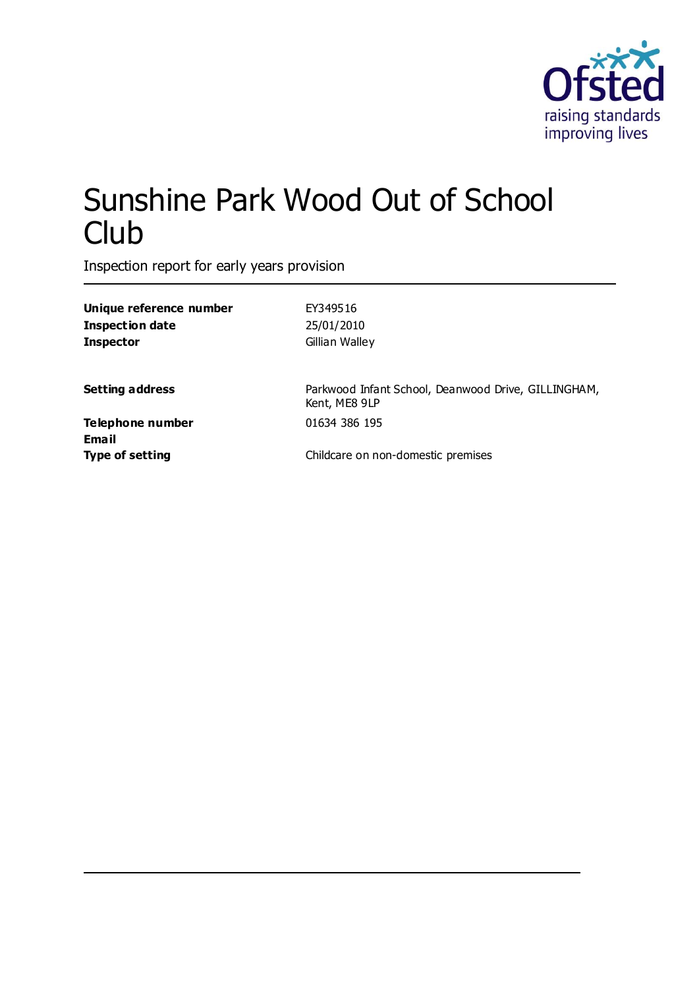

# Sunshine Park Wood Out of School **Club**

Inspection report for early years provision

| Unique reference number          | EY349516                                                             |
|----------------------------------|----------------------------------------------------------------------|
| <b>Inspection date</b>           | 25/01/2010                                                           |
| <b>Inspector</b>                 | Gillian Walley                                                       |
| <b>Setting address</b>           | Parkwood Infant School, Deanwood Drive, GILLINGHAM,<br>Kent, ME8 9LP |
| Telephone number<br><b>Email</b> | 01634 386 195                                                        |
| <b>Type of setting</b>           | Childcare on non-domestic premises                                   |
|                                  |                                                                      |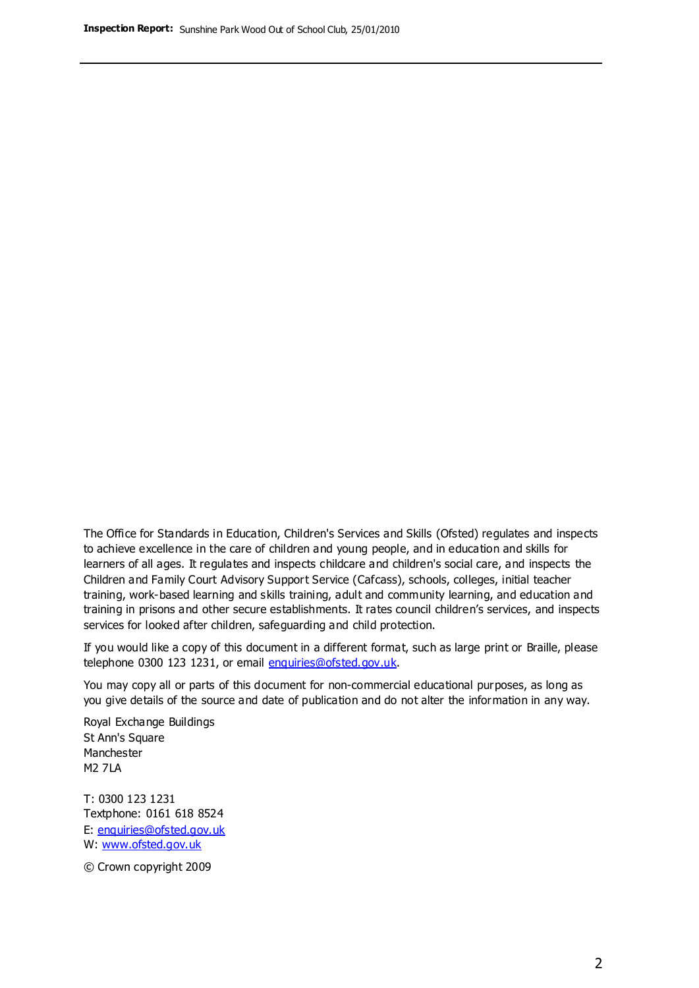The Office for Standards in Education, Children's Services and Skills (Ofsted) regulates and inspects to achieve excellence in the care of children and young people, and in education and skills for learners of all ages. It regulates and inspects childcare and children's social care, and inspects the Children and Family Court Advisory Support Service (Cafcass), schools, colleges, initial teacher training, work-based learning and skills training, adult and community learning, and education and training in prisons and other secure establishments. It rates council children's services, and inspects services for looked after children, safeguarding and child protection.

If you would like a copy of this document in a different format, such as large print or Braille, please telephone 0300 123 1231, or email enquiries@ofsted.gov.uk.

You may copy all or parts of this document for non-commercial educational purposes, as long as you give details of the source and date of publication and do not alter the information in any way.

Royal Exchange Buildings St Ann's Square Manchester M2 7LA

T: 0300 123 1231 Textphone: 0161 618 8524 E: enquiries@ofsted.gov.uk W: [www.ofsted.gov.uk](http://www.ofsted.gov.uk/)

© Crown copyright 2009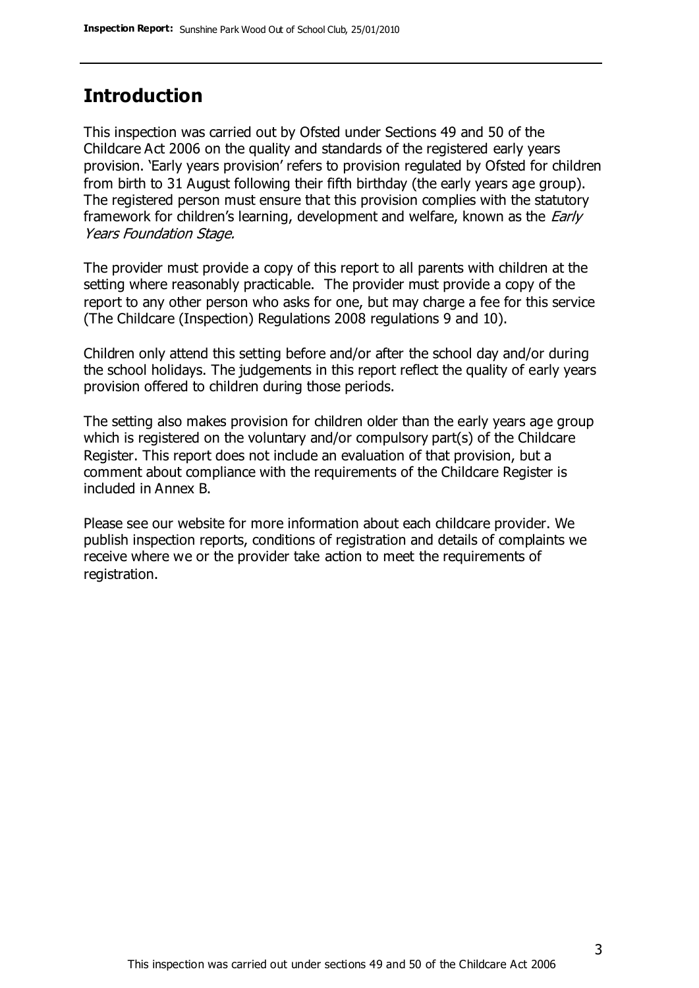#### **Introduction**

This inspection was carried out by Ofsted under Sections 49 and 50 of the Childcare Act 2006 on the quality and standards of the registered early years provision. 'Early years provision' refers to provision regulated by Ofsted for children from birth to 31 August following their fifth birthday (the early years age group). The registered person must ensure that this provision complies with the statutory framework for children's learning, development and welfare, known as the *Early* Years Foundation Stage.

The provider must provide a copy of this report to all parents with children at the setting where reasonably practicable. The provider must provide a copy of the report to any other person who asks for one, but may charge a fee for this service (The Childcare (Inspection) Regulations 2008 regulations 9 and 10).

Children only attend this setting before and/or after the school day and/or during the school holidays. The judgements in this report reflect the quality of early years provision offered to children during those periods.

The setting also makes provision for children older than the early years age group which is registered on the voluntary and/or compulsory part(s) of the Childcare Register. This report does not include an evaluation of that provision, but a comment about compliance with the requirements of the Childcare Register is included in Annex B.

Please see our website for more information about each childcare provider. We publish inspection reports, conditions of registration and details of complaints we receive where we or the provider take action to meet the requirements of registration.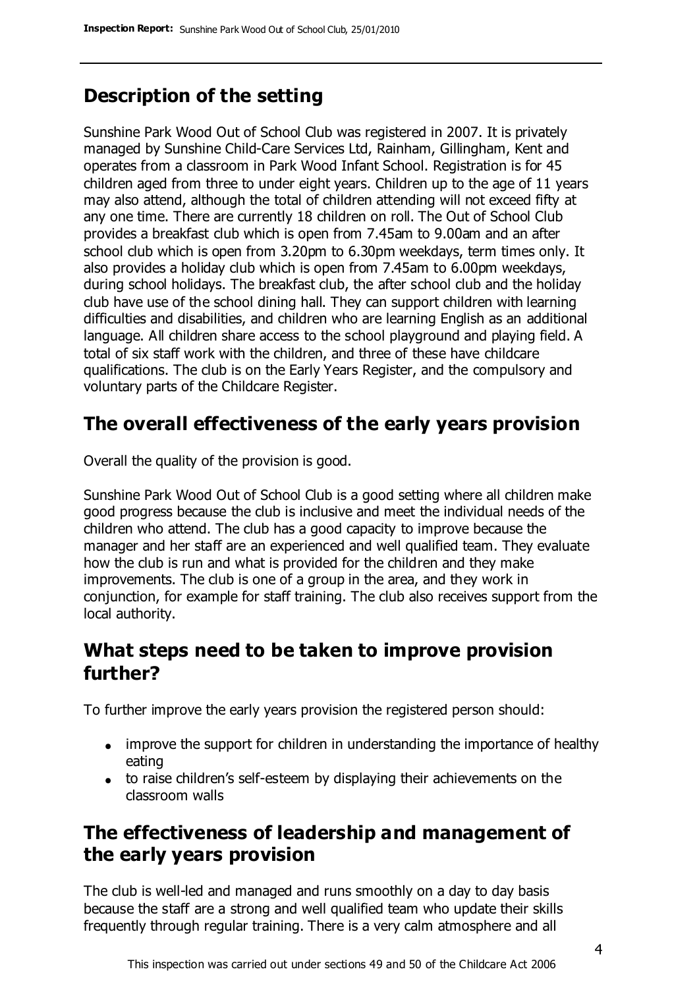### **Description of the setting**

Sunshine Park Wood Out of School Club was registered in 2007. It is privately managed by Sunshine Child-Care Services Ltd, Rainham, Gillingham, Kent and operates from a classroom in Park Wood Infant School. Registration is for 45 children aged from three to under eight years. Children up to the age of 11 years may also attend, although the total of children attending will not exceed fifty at any one time. There are currently 18 children on roll. The Out of School Club provides a breakfast club which is open from 7.45am to 9.00am and an after school club which is open from 3.20pm to 6.30pm weekdays, term times only. It also provides a holiday club which is open from 7.45am to 6.00pm weekdays, during school holidays. The breakfast club, the after school club and the holiday club have use of the school dining hall. They can support children with learning difficulties and disabilities, and children who are learning English as an additional language. All children share access to the school playground and playing field. A total of six staff work with the children, and three of these have childcare qualifications. The club is on the Early Years Register, and the compulsory and voluntary parts of the Childcare Register.

### **The overall effectiveness of the early years provision**

Overall the quality of the provision is good.

Sunshine Park Wood Out of School Club is a good setting where all children make good progress because the club is inclusive and meet the individual needs of the children who attend. The club has a good capacity to improve because the manager and her staff are an experienced and well qualified team. They evaluate how the club is run and what is provided for the children and they make improvements. The club is one of a group in the area, and they work in conjunction, for example for staff training. The club also receives support from the local authority.

#### **What steps need to be taken to improve provision further?**

To further improve the early years provision the registered person should:

- improve the support for children in understanding the importance of healthy eating
- to raise children's self-esteem by displaying their achievements on the classroom walls

### **The effectiveness of leadership and management of the early years provision**

The club is well-led and managed and runs smoothly on a day to day basis because the staff are a strong and well qualified team who update their skills frequently through regular training. There is a very calm atmosphere and all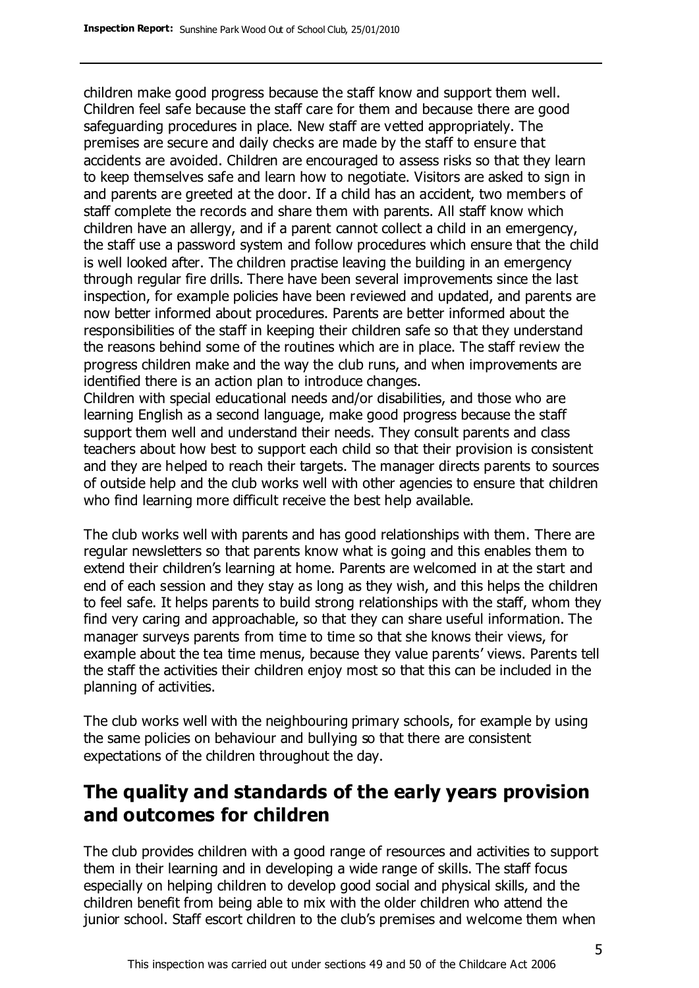children make good progress because the staff know and support them well. Children feel safe because the staff care for them and because there are good safeguarding procedures in place. New staff are vetted appropriately. The premises are secure and daily checks are made by the staff to ensure that accidents are avoided. Children are encouraged to assess risks so that they learn to keep themselves safe and learn how to negotiate. Visitors are asked to sign in and parents are greeted at the door. If a child has an accident, two members of staff complete the records and share them with parents. All staff know which children have an allergy, and if a parent cannot collect a child in an emergency, the staff use a password system and follow procedures which ensure that the child is well looked after. The children practise leaving the building in an emergency through regular fire drills. There have been several improvements since the last inspection, for example policies have been reviewed and updated, and parents are now better informed about procedures. Parents are better informed about the responsibilities of the staff in keeping their children safe so that they understand the reasons behind some of the routines which are in place. The staff review the progress children make and the way the club runs, and when improvements are identified there is an action plan to introduce changes.

Children with special educational needs and/or disabilities, and those who are learning English as a second language, make good progress because the staff support them well and understand their needs. They consult parents and class teachers about how best to support each child so that their provision is consistent and they are helped to reach their targets. The manager directs parents to sources of outside help and the club works well with other agencies to ensure that children who find learning more difficult receive the best help available.

The club works well with parents and has good relationships with them. There are regular newsletters so that parents know what is going and this enables them to extend their children's learning at home. Parents are welcomed in at the start and end of each session and they stay as long as they wish, and this helps the children to feel safe. It helps parents to build strong relationships with the staff, whom they find very caring and approachable, so that they can share useful information. The manager surveys parents from time to time so that she knows their views, for example about the tea time menus, because they value parents' views. Parents tell the staff the activities their children enjoy most so that this can be included in the planning of activities.

The club works well with the neighbouring primary schools, for example by using the same policies on behaviour and bullying so that there are consistent expectations of the children throughout the day.

### **The quality and standards of the early years provision and outcomes for children**

The club provides children with a good range of resources and activities to support them in their learning and in developing a wide range of skills. The staff focus especially on helping children to develop good social and physical skills, and the children benefit from being able to mix with the older children who attend the junior school. Staff escort children to the club's premises and welcome them when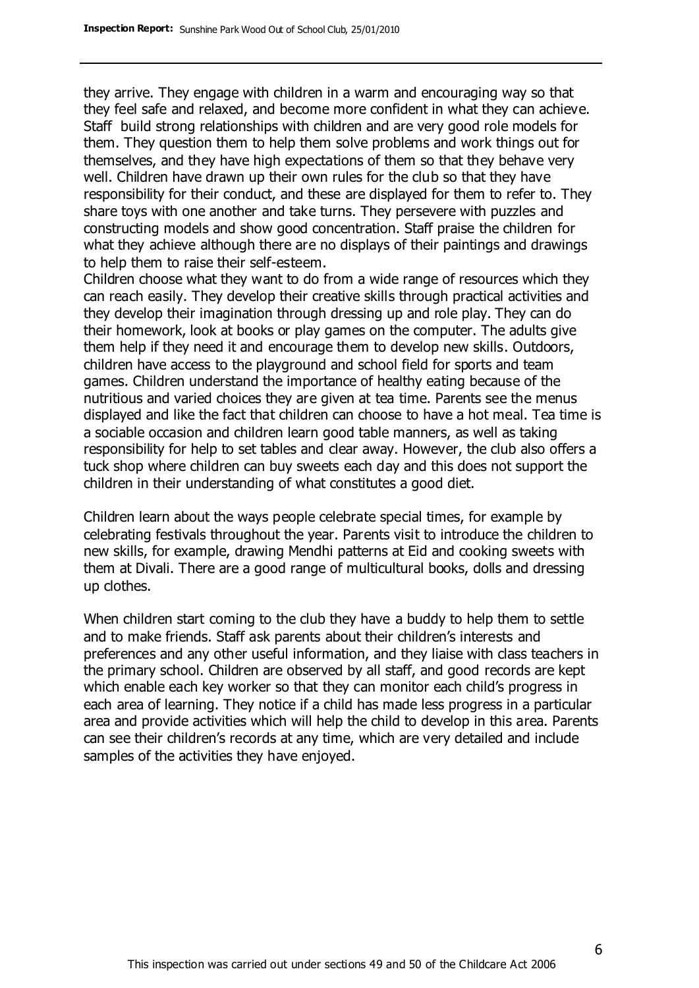they arrive. They engage with children in a warm and encouraging way so that they feel safe and relaxed, and become more confident in what they can achieve. Staff build strong relationships with children and are very good role models for them. They question them to help them solve problems and work things out for themselves, and they have high expectations of them so that they behave very well. Children have drawn up their own rules for the club so that they have responsibility for their conduct, and these are displayed for them to refer to. They share toys with one another and take turns. They persevere with puzzles and constructing models and show good concentration. Staff praise the children for what they achieve although there are no displays of their paintings and drawings to help them to raise their self-esteem.

Children choose what they want to do from a wide range of resources which they can reach easily. They develop their creative skills through practical activities and they develop their imagination through dressing up and role play. They can do their homework, look at books or play games on the computer. The adults give them help if they need it and encourage them to develop new skills. Outdoors, children have access to the playground and school field for sports and team games. Children understand the importance of healthy eating because of the nutritious and varied choices they are given at tea time. Parents see the menus displayed and like the fact that children can choose to have a hot meal. Tea time is a sociable occasion and children learn good table manners, as well as taking responsibility for help to set tables and clear away. However, the club also offers a tuck shop where children can buy sweets each day and this does not support the children in their understanding of what constitutes a good diet.

Children learn about the ways people celebrate special times, for example by celebrating festivals throughout the year. Parents visit to introduce the children to new skills, for example, drawing Mendhi patterns at Eid and cooking sweets with them at Divali. There are a good range of multicultural books, dolls and dressing up clothes.

When children start coming to the club they have a buddy to help them to settle and to make friends. Staff ask parents about their children's interests and preferences and any other useful information, and they liaise with class teachers in the primary school. Children are observed by all staff, and good records are kept which enable each key worker so that they can monitor each child's progress in each area of learning. They notice if a child has made less progress in a particular area and provide activities which will help the child to develop in this area. Parents can see their children's records at any time, which are very detailed and include samples of the activities they have enjoyed.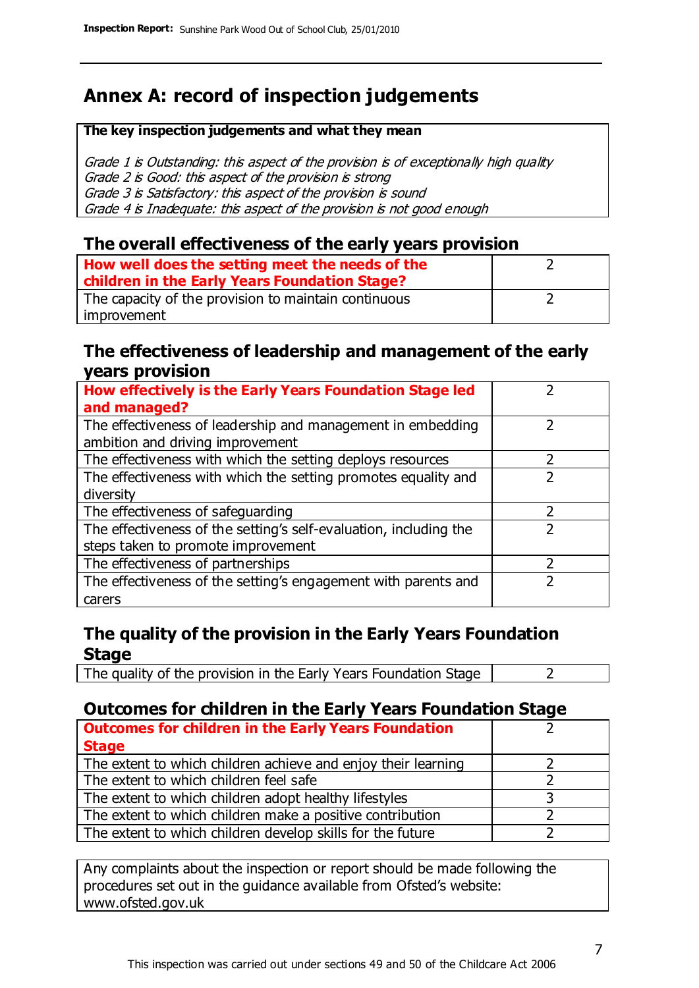### **Annex A: record of inspection judgements**

#### **The key inspection judgements and what they mean**

Grade 1 is Outstanding: this aspect of the provision is of exceptionally high quality Grade 2 is Good: this aspect of the provision is strong Grade 3 is Satisfactory: this aspect of the provision is sound Grade 4 is Inadequate: this aspect of the provision is not good enough

#### **The overall effectiveness of the early years provision**

| How well does the setting meet the needs of the<br>children in the Early Years Foundation Stage? |  |
|--------------------------------------------------------------------------------------------------|--|
| The capacity of the provision to maintain continuous                                             |  |
| improvement                                                                                      |  |

#### **The effectiveness of leadership and management of the early years provision**

| How effectively is the Early Years Foundation Stage led                                         |   |
|-------------------------------------------------------------------------------------------------|---|
| and managed?                                                                                    |   |
| The effectiveness of leadership and management in embedding<br>ambition and driving improvement |   |
| The effectiveness with which the setting deploys resources                                      |   |
| The effectiveness with which the setting promotes equality and                                  |   |
| diversity                                                                                       |   |
| The effectiveness of safeguarding                                                               | 2 |
| The effectiveness of the setting's self-evaluation, including the                               | 2 |
| steps taken to promote improvement                                                              |   |
| The effectiveness of partnerships                                                               |   |
| The effectiveness of the setting's engagement with parents and                                  |   |
| carers                                                                                          |   |

#### **The quality of the provision in the Early Years Foundation Stage**

The quality of the provision in the Early Years Foundation Stage  $\vert$  2

#### **Outcomes for children in the Early Years Foundation Stage**

| <b>Outcomes for children in the Early Years Foundation</b>    |  |
|---------------------------------------------------------------|--|
| <b>Stage</b>                                                  |  |
| The extent to which children achieve and enjoy their learning |  |
| The extent to which children feel safe                        |  |
| The extent to which children adopt healthy lifestyles         |  |
| The extent to which children make a positive contribution     |  |
| The extent to which children develop skills for the future    |  |

Any complaints about the inspection or report should be made following the procedures set out in the guidance available from Ofsted's website: www.ofsted.gov.uk